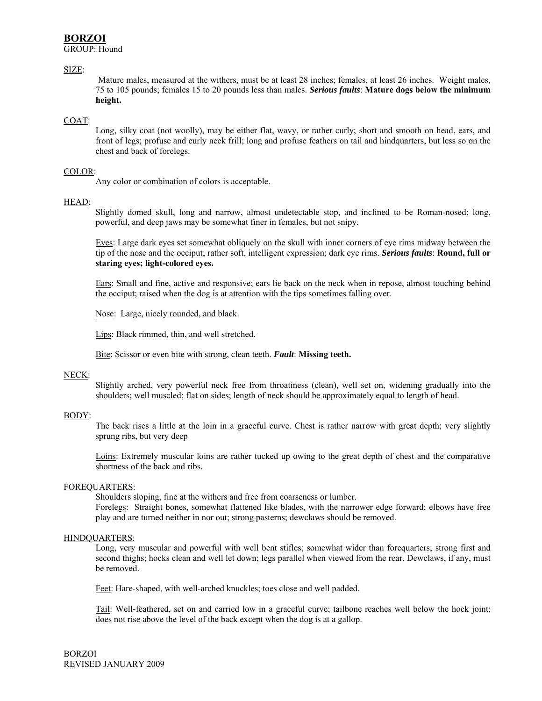# **BORZOI**

GROUP: Hound

## SIZE:

Mature males, measured at the withers, must be at least 28 inches; females, at least 26 inches. Weight males, 75 to 105 pounds; females 15 to 20 pounds less than males. *Serious faults*: **Mature dogs below the minimum height.** 

## COAT:

Long, silky coat (not woolly), may be either flat, wavy, or rather curly; short and smooth on head, ears, and front of legs; profuse and curly neck frill; long and profuse feathers on tail and hindquarters, but less so on the chest and back of forelegs.

## COLOR:

Any color or combination of colors is acceptable.

## HEAD:

Slightly domed skull, long and narrow, almost undetectable stop, and inclined to be Roman-nosed; long, powerful, and deep jaws may be somewhat finer in females, but not snipy.

Eyes: Large dark eyes set somewhat obliquely on the skull with inner corners of eye rims midway between the tip of the nose and the occiput; rather soft, intelligent expression; dark eye rims. *Serious faults*: **Round, full or staring eyes; light-colored eyes.** 

Ears: Small and fine, active and responsive; ears lie back on the neck when in repose, almost touching behind the occiput; raised when the dog is at attention with the tips sometimes falling over.

Nose: Large, nicely rounded, and black.

Lips: Black rimmed, thin, and well stretched.

Bite: Scissor or even bite with strong, clean teeth. *Fault*: **Missing teeth.**

#### NECK:

Slightly arched, very powerful neck free from throatiness (clean), well set on, widening gradually into the shoulders; well muscled; flat on sides; length of neck should be approximately equal to length of head.

#### BODY:

The back rises a little at the loin in a graceful curve. Chest is rather narrow with great depth; very slightly sprung ribs, but very deep

Loins: Extremely muscular loins are rather tucked up owing to the great depth of chest and the comparative shortness of the back and ribs.

## FOREQUARTERS:

Shoulders sloping, fine at the withers and free from coarseness or lumber.

Forelegs: Straight bones, somewhat flattened like blades, with the narrower edge forward; elbows have free play and are turned neither in nor out; strong pasterns; dewclaws should be removed.

#### HINDQUARTERS:

Long, very muscular and powerful with well bent stifles; somewhat wider than forequarters; strong first and second thighs; hocks clean and well let down; legs parallel when viewed from the rear. Dewclaws, if any, must be removed.

Feet: Hare-shaped, with well-arched knuckles; toes close and well padded.

Tail: Well-feathered, set on and carried low in a graceful curve; tailbone reaches well below the hock joint; does not rise above the level of the back except when the dog is at a gallop.